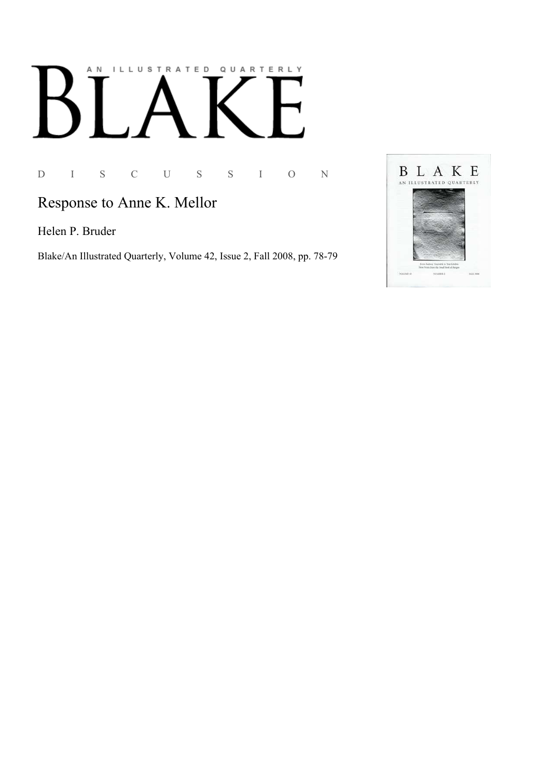# AN ILLUSTRATED QUARTERLY

D I S C U S S I O N

# Response to Anne K. Mellor

Helen P. Bruder

Blake/An Illustrated Quarterly, Volume 42, Issue 2, Fall 2008, pp. 78-79

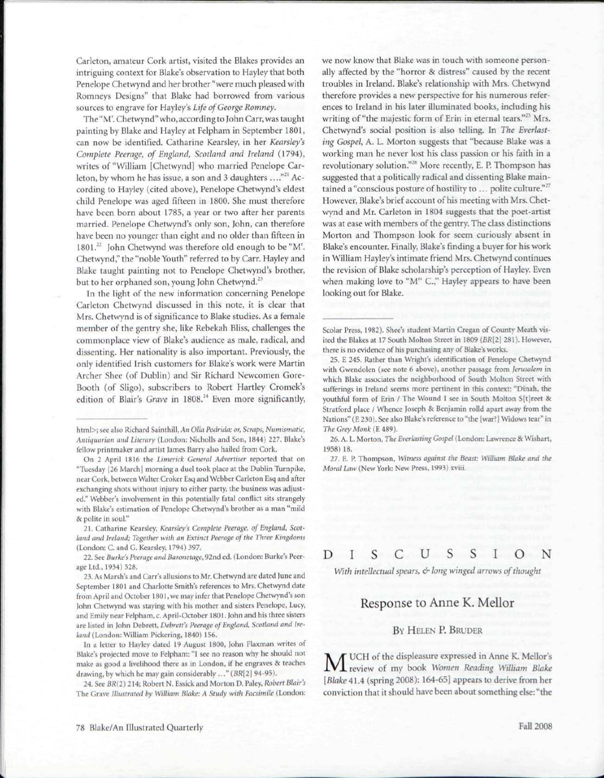Carleton, amateur Cork artist, visited the Blakes provides an intriguing context for Blake's observation to Hayley that both Penelope Chetwynd and her brother "were much pleased with Romneys Designs" that Blake had borrowed from various sources to engrave for Hayley's *Life of George Romney.* 

The "M<sup>r</sup> . Chetwynd" who, according to John Carr, was taught painting by Blake and Hayley at Felpham in September 1801, can now be identified. Catharine Kearsley, in her *Kearsley's Complete Peerage, of England, Scotland and Ireland* (1794), writes of "William [Chetwynd] who married Penelope Carleton, by whom he has issue, a son and 3 daughters ...."<sup>21</sup> According to Hayley (cited above), Penelope Chetwynd's eldest child Penelope was aged fifteen in 1800. She must therefore have been born about 1785, a year or two after her parents married. Penelope Chetwynd's only son, John, can therefore have been no younger than eight and no older than fifteen in 1801.<sup>22</sup> John Chetwynd was therefore old enough to be "M". Chetwynd," the "noble Youth" referred to by Carr. Hayley and Blake taught painting not to Penelope Chetwynd's brother, but to her orphaned son, young John Chetwynd.<sup>23</sup>

In the light of the new information concerning Penelope Carleton Chetwynd discussed in this note, it is clear that Mrs. Chetwynd is of significance to Blake studies. As a female member of the gentry she, like Rebekah Bliss, challenges the commonplace view of Blake's audience as male, radical, and dissenting. Her nationality is also important. Previously, the only identified Irish customers for Blake's work were Martin Archer Shee (of Dublin) and Sir Richard Newcomen Gore-Booth (of Sligo), subscribers to Robert Hartley Cromek's edition of Blair's Grave in 1808.<sup>24</sup> Even more significantly,

21. Catharine Kearsley, *Kearsley's Complete Peerage, of England, Scotland and Ireland; Together with an Extinct Peerage of the Three Kingdoms*  (London: C. and G. Kearsley, 1794) 397.

22. See *Burke's Peerage and Baronetage,* 92nd ed. (London: Burke's Peerage Ltd., 1934) 528.

In a letter to Hayley dated 19 August 1800, John Flaxman writes of Blake's projected move to Felpham: "1 see no reason why he should not make as good a livelihood there as in London, if he engraves & teaches drawing, by which he may gain considerably ..." *(BR[2]* 94-95).

24. See *BR(2)* 214; Robert N. Essick and Morton D. Paley, *Robert Blair's*  The Grave *Illustrated by William Blake: A Study with Facsimile* (London:

we now know that Blake was in touch with someone personally affected by the "horror & distress" caused by the recent troubles in Ireland. Blake's relationship with Mrs. Chetwynd therefore provides a new perspective for his numerous references to Ireland in his later illuminated books, including his writing of "the majestic form of Erin in eternal tears."<sup>25</sup> Mrs. Chetwynd's social position is also telling. In *The Everlasting Gospel,* A. L. Morton suggests that "because Blake was a working man he never lost his class passion or his faith in a revolutionary solution."<sup>26</sup> More recently, E. P. Thompson has suggested that a politically radical and dissenting Blake maintained a "conscious posture of hostility to ... polite culture."<sup>27</sup> However, Blake's brief account of his meeting with Mrs. Chetwynd and Mr. Carleton in 1804 suggests that the poet-artist was at ease with members of the gentry. The class distinctions Morton and Thompson look for seem curiously absent in Blake's encounter. Finally, Blake's finding a buyer for his work in William Hayley's intimate friend Mrs. Chetwynd continues the revision of Blake scholarship's perception of Hayley. Even when making love to "M<sup>15</sup> C.," Hayley appears to have been looking out for Blake.

Scolar Press, 1982). Shee's student Martin Cregan of County Meath visited the Blakes at 17 South Molton Street in 1809 *(BR[2]* 281). However, there is no evidence of his purchasing any of Blake's works.

25. E 245. Rather than Wright's identification of Penelope Chetwynd with Gwendolen (see note 6 above), another passage from *Jerusalem* in which Blake associates the neighborhood of South Molton Street with sufferings in Ireland seems more pertinent in this context: "Dinah, the youthful form of Erin / The Wound I see in South Molton S[t]reet 8c Stratford place / Whence Joseph & Benjamin rolld apart away from the Nations" (E 230). See also Blake's reference to "the [war?] Widows tear" in *The Grey Monk(E* 489).

26. A. L. Morton, *The Everlasting Gospel* (London: Lawrence & Wishart, 1958)18.

27. E. P. Thompson, *Witness against the Beast: William Blake and the Moral Law* (New York: New Press, 1993) xviii.

DISCUSSIO N

*With intellectual spears, & long winged arrows of thought* 

## Response to Anne K. Mellor

### BY HELEN P. BRUDER

 $M$ <sup>UCH of the displeasure expressed in Anne K. Mellor's provide the displeasure expressed in Anne K. Mellor's provide the state of my book *Women Reading William Blake*</sup> UCH of the displeasure expressed in Anne K. Mellor's [Blake 41.4 (spring 2008): 164-65] appears to derive from her conviction that it should have been about something else: "the

html>; see also Richard Sainthill, *An Otla Podrida; or, Scraps, Numismatic, Antiquarian and Literary* (London: Nicholls and Son, 1844) 227. Blake's fellow printmaker and artist James Barry also hailed from Cork.

On 2 April 1816 the *Limerick General Advertiser* reported that on "Tuesday [26 March) morning a duel took place at the Dublin Turnpike, near Cork, between Walter Croker Esq and Webber Carleton Esq and after exchanging shots without injury to either party, the business was adjusted." Webber's involvement in this potentially fatal conflict sits strangely with Blake's estimation of Penelope Chetwynd's brother as a man "mild 8c polite in soul."

<sup>23.</sup> As Marsh's and Carr's allusions to Mr. Chetwynd are dated June and September 1801 and Charlotte Smith's references to Mrs. Chetwynd date from April and October 1801, we may infer that Penelope Chetwynd's son John Chetwynd was staying with his mother and sisters Penelope, Lucy, and Emily near Felpham, c. April-October 1801. John and his three sisters are listed in John Debrett, *Debrett's Peerage of England, Scotland and Ireland* (London: William Pickering, 1840) 156.